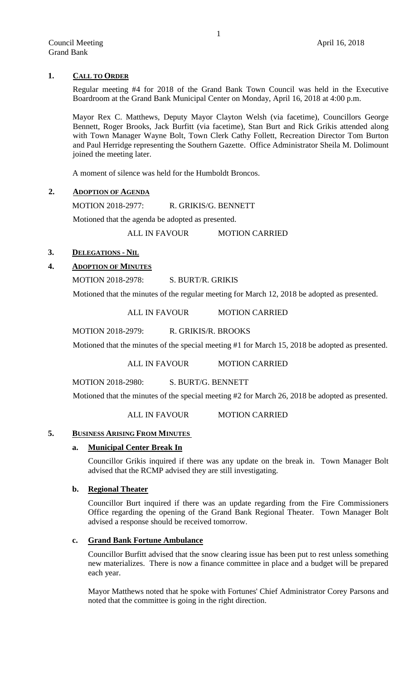# **1. CALL TO ORDER**

Regular meeting #4 for 2018 of the Grand Bank Town Council was held in the Executive Boardroom at the Grand Bank Municipal Center on Monday, April 16, 2018 at 4:00 p.m.

Mayor Rex C. Matthews, Deputy Mayor Clayton Welsh (via facetime), Councillors George Bennett, Roger Brooks, Jack Burfitt (via facetime), Stan Burt and Rick Grikis attended along with Town Manager Wayne Bolt, Town Clerk Cathy Follett, Recreation Director Tom Burton and Paul Herridge representing the Southern Gazette. Office Administrator Sheila M. Dolimount joined the meeting later.

A moment of silence was held for the Humboldt Broncos.

# **2. ADOPTION OF AGENDA**

MOTION 2018-2977: R. GRIKIS/G. BENNETT

Motioned that the agenda be adopted as presented.

ALL IN FAVOUR MOTION CARRIED

# **3. DELEGATIONS - NIL**

# **4. ADOPTION OF MINUTES**

MOTION 2018-2978: S. BURT/R. GRIKIS

Motioned that the minutes of the regular meeting for March 12, 2018 be adopted as presented.

ALL IN FAVOUR MOTION CARRIED

MOTION 2018-2979: R. GRIKIS/R. BROOKS

Motioned that the minutes of the special meeting #1 for March 15, 2018 be adopted as presented.

ALL IN FAVOUR MOTION CARRIED

MOTION 2018-2980: S. BURT/G. BENNETT

Motioned that the minutes of the special meeting #2 for March 26, 2018 be adopted as presented.

ALL IN FAVOUR MOTION CARRIED

## **5. BUSINESS ARISING FROM MINUTES**

# **a. Municipal Center Break In**

Councillor Grikis inquired if there was any update on the break in. Town Manager Bolt advised that the RCMP advised they are still investigating.

# **b. Regional Theater**

Councillor Burt inquired if there was an update regarding from the Fire Commissioners Office regarding the opening of the Grand Bank Regional Theater. Town Manager Bolt advised a response should be received tomorrow.

# **c. Grand Bank Fortune Ambulance**

Councillor Burfitt advised that the snow clearing issue has been put to rest unless something new materializes. There is now a finance committee in place and a budget will be prepared each year.

Mayor Matthews noted that he spoke with Fortunes' Chief Administrator Corey Parsons and noted that the committee is going in the right direction.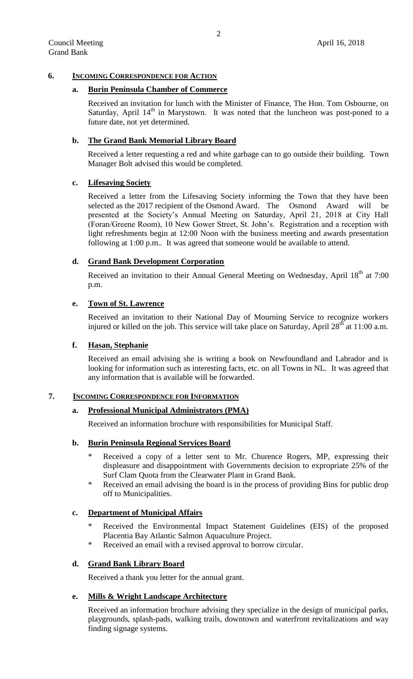## **6. INCOMING CORRESPONDENCE FOR ACTION**

### **a. Burin Peninsula Chamber of Commerce**

Received an invitation for lunch with the Minister of Finance, The Hon. Tom Osbourne, on Saturday, April  $14<sup>th</sup>$  in Marystown. It was noted that the luncheon was post-poned to a future date, not yet determined.

### **b. The Grand Bank Memorial Library Board**

Received a letter requesting a red and white garbage can to go outside their building. Town Manager Bolt advised this would be completed.

#### **c. Lifesaving Society**

Received a letter from the Lifesaving Society informing the Town that they have been selected as the 2017 recipient of the Osmond Award. The Osmond Award will be presented at the Society's Annual Meeting on Saturday, April 21, 2018 at City Hall (Foran/Greene Room), 10 New Gower Street, St. John's. Registration and a reception with light refreshments begin at 12:00 Noon with the business meeting and awards presentation following at 1:00 p.m.. It was agreed that someone would be available to attend.

### **d. Grand Bank Development Corporation**

Received an invitation to their Annual General Meeting on Wednesday, April 18<sup>th</sup> at 7:00 p.m.

### **e. Town of St. Lawrence**

Received an invitation to their National Day of Mourning Service to recognize workers injured or killed on the job. This service will take place on Saturday, April  $28<sup>th</sup>$  at 11:00 a.m.

# **f. Hasan, Stephanie**

Received an email advising she is writing a book on Newfoundland and Labrador and is looking for information such as interesting facts, etc. on all Towns in NL. It was agreed that any information that is available will be forwarded.

#### **7. INCOMING CORRESPONDENCE FOR INFORMATION**

#### **a. Professional Municipal Administrators (PMA)**

Received an information brochure with responsibilities for Municipal Staff.

# **b. Burin Peninsula Regional Services Board**

- Received a copy of a letter sent to Mr. Churence Rogers, MP, expressing their displeasure and disappointment with Governments decision to expropriate 25% of the Surf Clam Quota from the Clearwater Plant in Grand Bank.
- Received an email advising the board is in the process of providing Bins for public drop off to Municipalities.

### **c. Department of Municipal Affairs**

- Received the Environmental Impact Statement Guidelines (EIS) of the proposed Placentia Bay Atlantic Salmon Aquaculture Project.
- Received an email with a revised approval to borrow circular.

# **d. Grand Bank Library Board**

Received a thank you letter for the annual grant.

#### **e. Mills & Wright Landscape Architecture**

Received an information brochure advising they specialize in the design of municipal parks, playgrounds, splash-pads, walking trails, downtown and waterfront revitalizations and way finding signage systems.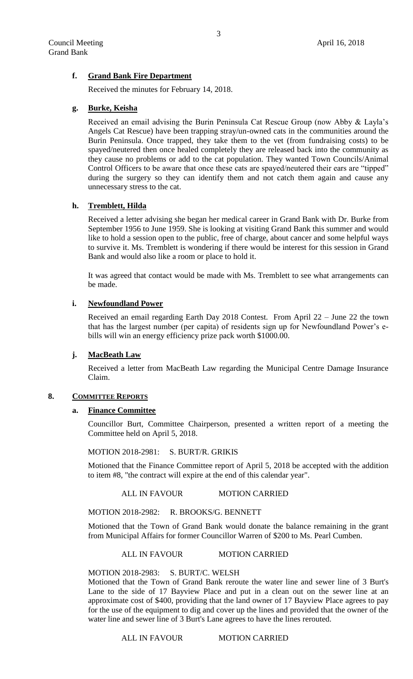# **f. Grand Bank Fire Department**

Received the minutes for February 14, 2018.

### **g. Burke, Keisha**

Received an email advising the Burin Peninsula Cat Rescue Group (now Abby & Layla's Angels Cat Rescue) have been trapping stray/un-owned cats in the communities around the Burin Peninsula. Once trapped, they take them to the vet (from fundraising costs) to be spayed/neutered then once healed completely they are released back into the community as they cause no problems or add to the cat population. They wanted Town Councils/Animal Control Officers to be aware that once these cats are spayed/neutered their ears are "tipped" during the surgery so they can identify them and not catch them again and cause any unnecessary stress to the cat.

## **h. Tremblett, Hilda**

Received a letter advising she began her medical career in Grand Bank with Dr. Burke from September 1956 to June 1959. She is looking at visiting Grand Bank this summer and would like to hold a session open to the public, free of charge, about cancer and some helpful ways to survive it. Ms. Tremblett is wondering if there would be interest for this session in Grand Bank and would also like a room or place to hold it.

It was agreed that contact would be made with Ms. Tremblett to see what arrangements can be made.

### **i. Newfoundland Power**

Received an email regarding Earth Day 2018 Contest. From April 22 – June 22 the town that has the largest number (per capita) of residents sign up for Newfoundland Power's ebills will win an energy efficiency prize pack worth \$1000.00.

### **j. MacBeath Law**

Received a letter from MacBeath Law regarding the Municipal Centre Damage Insurance Claim.

### **8. COMMITTEE REPORTS**

### **a. Finance Committee**

Councillor Burt, Committee Chairperson, presented a written report of a meeting the Committee held on April 5, 2018.

MOTION 2018-2981: S. BURT/R. GRIKIS

Motioned that the Finance Committee report of April 5, 2018 be accepted with the addition to item #8, "the contract will expire at the end of this calendar year".

## ALL IN FAVOUR MOTION CARRIED

MOTION 2018-2982: R. BROOKS/G. BENNETT

Motioned that the Town of Grand Bank would donate the balance remaining in the grant from Municipal Affairs for former Councillor Warren of \$200 to Ms. Pearl Cumben.

## ALL IN FAVOUR MOTION CARRIED

MOTION 2018-2983: S. BURT/C. WELSH

Motioned that the Town of Grand Bank reroute the water line and sewer line of 3 Burt's Lane to the side of 17 Bayview Place and put in a clean out on the sewer line at an approximate cost of \$400, providing that the land owner of 17 Bayview Place agrees to pay for the use of the equipment to dig and cover up the lines and provided that the owner of the water line and sewer line of 3 Burt's Lane agrees to have the lines rerouted.

## ALL IN FAVOUR MOTION CARRIED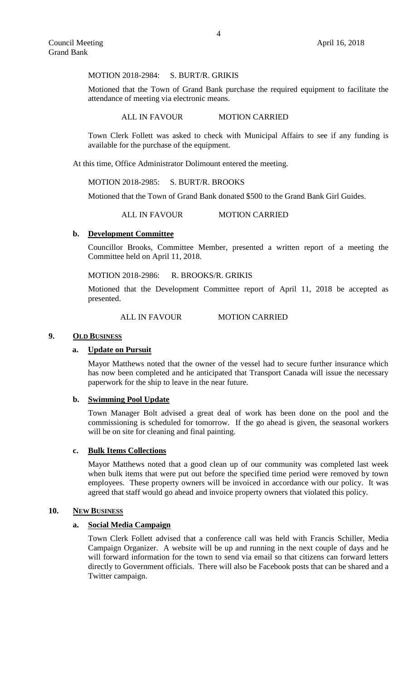#### MOTION 2018-2984: S. BURT/R. GRIKIS

Motioned that the Town of Grand Bank purchase the required equipment to facilitate the attendance of meeting via electronic means.

#### ALL IN FAVOUR MOTION CARRIED

Town Clerk Follett was asked to check with Municipal Affairs to see if any funding is available for the purchase of the equipment.

At this time, Office Administrator Dolimount entered the meeting.

### MOTION 2018-2985: S. BURT/R. BROOKS

Motioned that the Town of Grand Bank donated \$500 to the Grand Bank Girl Guides.

ALL IN FAVOUR MOTION CARRIED

## **b. Development Committee**

Councillor Brooks, Committee Member, presented a written report of a meeting the Committee held on April 11, 2018.

#### MOTION 2018-2986: R. BROOKS/R. GRIKIS

Motioned that the Development Committee report of April 11, 2018 be accepted as presented.

#### ALL IN FAVOUR MOTION CARRIED

### **9. OLD BUSINESS**

## **a. Update on Pursuit**

Mayor Matthews noted that the owner of the vessel had to secure further insurance which has now been completed and he anticipated that Transport Canada will issue the necessary paperwork for the ship to leave in the near future.

#### **b. Swimming Pool Update**

Town Manager Bolt advised a great deal of work has been done on the pool and the commissioning is scheduled for tomorrow. If the go ahead is given, the seasonal workers will be on site for cleaning and final painting.

## **c. Bulk Items Collections**

Mayor Matthews noted that a good clean up of our community was completed last week when bulk items that were put out before the specified time period were removed by town employees. These property owners will be invoiced in accordance with our policy. It was agreed that staff would go ahead and invoice property owners that violated this policy.

#### **10. NEW BUSINESS**

#### **a. Social Media Campaign**

Town Clerk Follett advised that a conference call was held with Francis Schiller, Media Campaign Organizer. A website will be up and running in the next couple of days and he will forward information for the town to send via email so that citizens can forward letters directly to Government officials. There will also be Facebook posts that can be shared and a Twitter campaign.